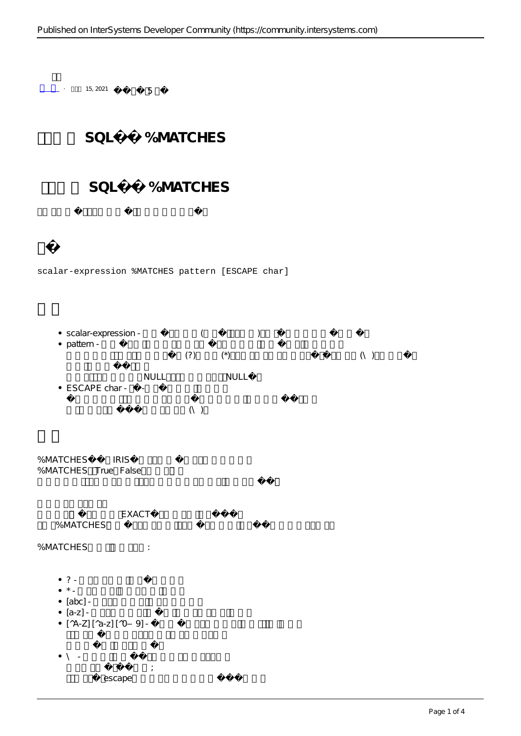SQL %MATCHES

 $+$  15, 2021 5

SQL %MATCHES

## scalar-expression %MATCHES pattern [ESCAPE char]

● scalar-expression - ( ) • pattern - $(?)$  (\*)  $(*)$ NULL, NULL, NULL ● ESCAPE char - T

 $(\wedge)$ 

% MATCHES IRIS %MATCHES True False

> EXACT % MATCHES

%MATCHES:

- $\bullet$  ? -<br> $\bullet$  \* -
- \* 匹配零个或多个任意类型的字符。
- $\bullet$  [abc] -
- $[a-z]$  -
- [^A -Z ] [^a -z ] [^O 9]  $\blacksquare$
- $\sqrt{2}$

反斜杠是默认的转义字符; escape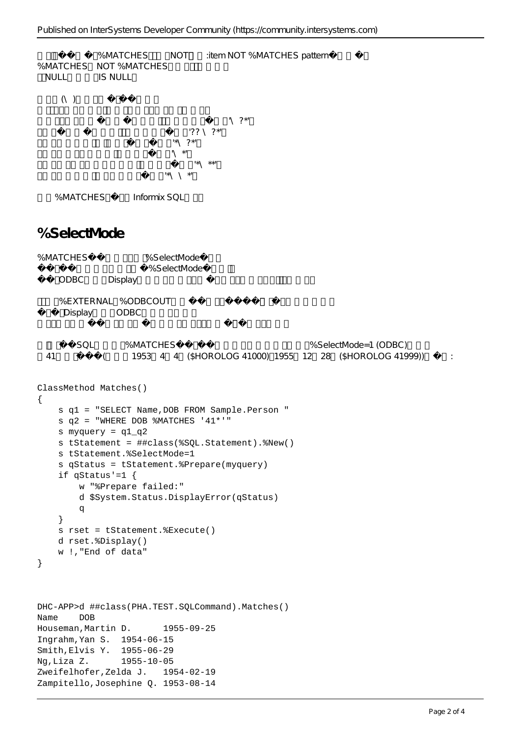```
%MATCHES NOT : item NOT %MATCHES pattern
%MATCHES NOT %MATCHES
 NULL<sub>IS NULL</sub>
    (\wedge \)\wedge ?*'
                           22 \times 2^*\mathbb{R}^n\sum_{l=1}^{\infty}\mathbb{R}^{\times} , \mathbb{R}^{\times}\begin{array}{c|c} \ast \ast & \ast \ast \end{array}%MATCHES Informix SQL
%SelectMode
%MATCHES %SelectMode
                    %SelectMode
ODBC Display
   %EXTERNAL %ODBCOUT
    Display ODBC
       SQL %MATCHES % MATCHES % SelectMode=1 (ODBC)
 41 (1953 4 4 ($HOROLOG 41000) 1955 12 28 ($HOROLOG 41999) :
ClassMethod Matches()
{
    s q1 = "SELECT Name,DOB FROM Sample.Person "
   s q2 = "WHERE DOB %MATCHES '41*'"
    s myquery = q1_q2
    s tStatement = ##class(%SQL.Statement).%New()
    s tStatement.%SelectMode=1
    s qStatus = tStatement.%Prepare(myquery)
    if qStatus'=1 {
        w "%Prepare failed:" 
        d $System.Status.DisplayError(qStatus) 
        q
     }
    s rset = tStatement.%Execute()
    d rset.%Display()
    w !,"End of data"
}
DHC-APP>d ##class(PHA.TEST.SQLCommand).Matches()
Name DOB
Houseman,Martin D. 1955-09-25
Ingrahm,Yan S. 1954-06-15
Smith,Elvis Y. 1955-06-29
Ng,Liza Z. 1955-10-05
Zweifelhofer,Zelda J. 1954-02-19
Zampitello,Josephine Q. 1953-08-14
```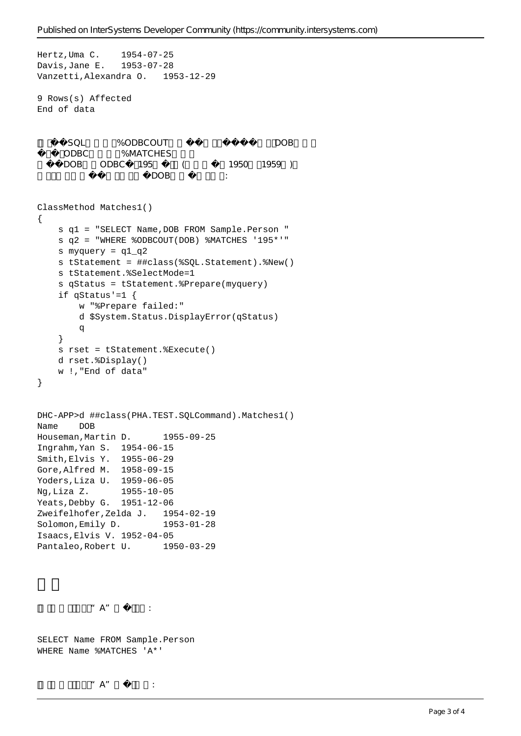```
Hertz,Uma C. 1954-07-25
Davis,Jane E. 1953-07-28
Vanzetti,Alexandra O. 1953-12-29
9 Rows(s) Affected
End of data
     SQL %ODBCOUT
    ODBC %MATCHES
    DOB ODBC 195 (1950 1959)
                    DOB :
ClassMethod Matches1()
{
    s q1 = "SELECT Name,DOB FROM Sample.Person "
    s q2 = "WHERE %ODBCOUT(DOB) %MATCHES '195*'"
    s myquery = q1_q2
    s tStatement = ##class(%SQL.Statement).%New()
    s tStatement.%SelectMode=1
    s qStatus = tStatement.%Prepare(myquery)
    if qStatus'=1 {
        w "%Prepare failed:" 
        d $System.Status.DisplayError(qStatus) 
        q
    }
    s rset = tStatement.%Execute()
    d rset.%Display()
    w !,"End of data"
}
DHC-APP>d ##class(PHA.TEST.SQLCommand).Matches1()
Name DOB
Houseman, Martin D. 1955-09-25
Ingrahm,Yan S. 1954-06-15
Smith,Elvis Y. 1955-06-29
Gore,Alfred M. 1958-09-15
Yoders,Liza U. 1959-06-05
Ng,Liza Z. 1955-10-05
Yeats,Debby G. 1951-12-06
Zweifelhofer,Zelda J. 1954-02-19
Solomon,Emily D. 1953-01-28
Isaacs,Elvis V. 1952-04-05
Pantaleo, Robert U. 1950-03-29
         "A" :
```
SELECT Name FROM Sample.Person WHERE Name %MATCHES 'A\*'

 $"A"$